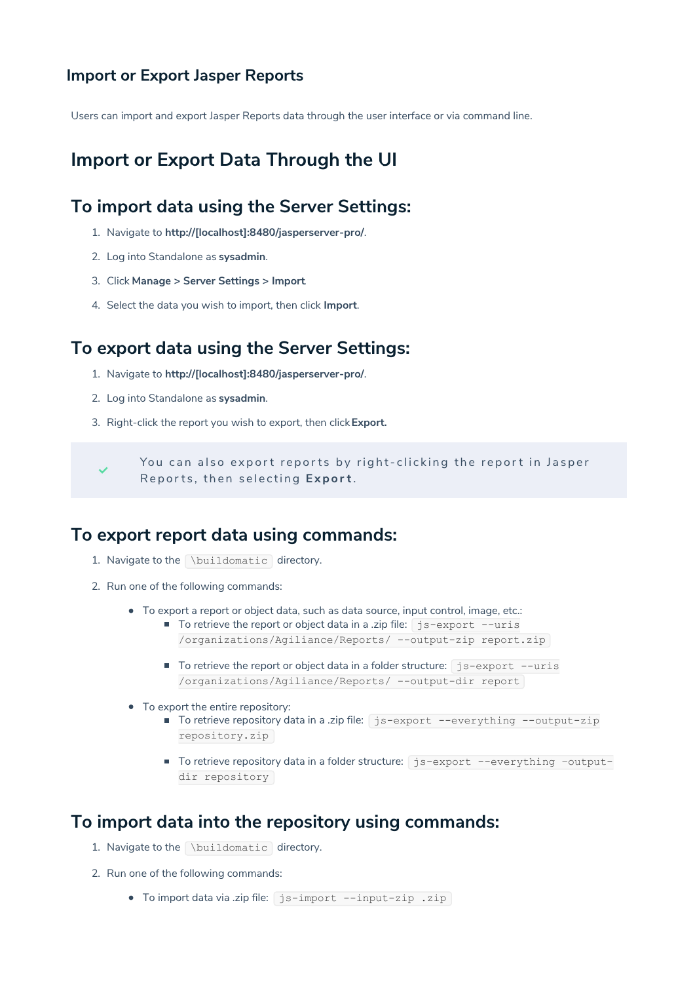#### **Import or Export Jasper Reports**

Users can import and export Jasper Reports data through the user interface or via command line.

# **Import or Export Data Through the UI**

## **To import data using the Server Settings:**

- 1. Navigate to **http://[localhost]:8480/jasperserver-pro/**.
- 2. Log into Standalone as **sysadmin**.
- 3. Click **Manage > Server Settings > Import**.
- 4. Select the data you wish to import, then click **Import**.

#### **To export data using the Server Settings:**

- 1. Navigate to **http://[localhost]:8480/jasperserver-pro/**.
- 2. Log into Standalone as **sysadmin**.
- 3. Right-click the report you wish to export, then click**Export.**

You can also export reports by right-clicking the report in Jasper Reports, then selecting Export.

## **To export report data using commands:**

- 1. Navigate to the \buildomatic directory.
- 2. Run one of the following commands:
	- To export a report or object data, such as data source, input control, image, etc.:
		- To retrieve the report or object data in a .zip file:  $\frac{1}{1}$ s-export --uris /organizations/Agiliance/Reports/ --output-zip report.zip
			- To retrieve the report or object data in a folder structure:  $\frac{1}{1}$ s-export --uris /organizations/Agiliance/Reports/ --output-dir report
	- To export the entire repository:
		- To retrieve repository data in a .zip file: is-export --everything --output-zip repository.zip
		- To retrieve repository data in a folder structure: js-export --everything -outputdir repository

## **To import data into the repository using commands:**

- 1. Navigate to the \buildomatic directory.
- 2. Run one of the following commands:
	- To import data via .zip file: js-import --input-zip .zip